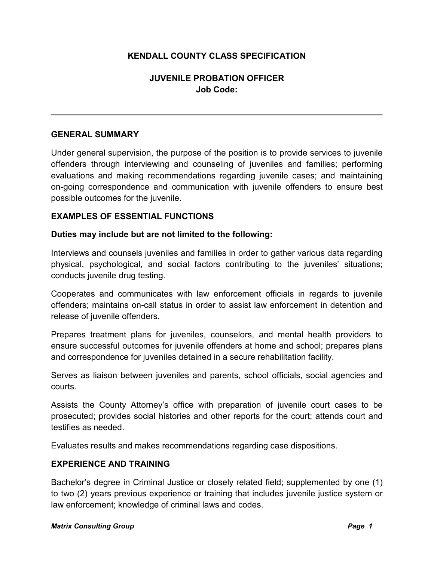# **KENDALL COUNTY CLASS SPECIFICATION**

# **JUVENILE PROBATION OFFICER Job Code:**

### **GENERAL SUMMARY**

Under general supervision, the purpose of the position is to provide services to juvenile offenders through interviewing and counseling of juveniles and families; performing evaluations and making recommendations regarding juvenile cases; and maintaining on-going correspondence and communication with juvenile offenders to ensure best possible outcomes for the juvenile.

#### **EXAMPLES OF ESSENTIAL FUNCTIONS**

#### **Duties may include but are not limited to the following:**

Interviews and counsels juveniles and families in order to gather various data regarding physical, psychological, and social factors contributing to the juveniles' situations; conducts juvenile drug testing.

Cooperates and communicates with law enforcement officials in regards to juvenile offenders; maintains on-call status in order to assist law enforcement in detention and release of juvenile offenders.

Prepares treatment plans for juveniles, counselors, and mental health providers to ensure successful outcomes for juvenile offenders at home and school; prepares plans and correspondence for juveniles detained in a secure rehabilitation facility.

Serves as liaison between juveniles and parents, school officials, social agencies and courts.

Assists the County Attorney's office with preparation of juvenile court cases to be prosecuted; provides social histories and other reports for the court; attends court and testifies as needed.

Evaluates results and makes recommendations regarding case dispositions.

## **EXPERIENCE AND TRAINING**

Bachelor's degree in Criminal Justice or closely related field; supplemented by one (1) to two (2) years previous experience or training that includes juvenile justice system or law enforcement; knowledge of criminal laws and codes.